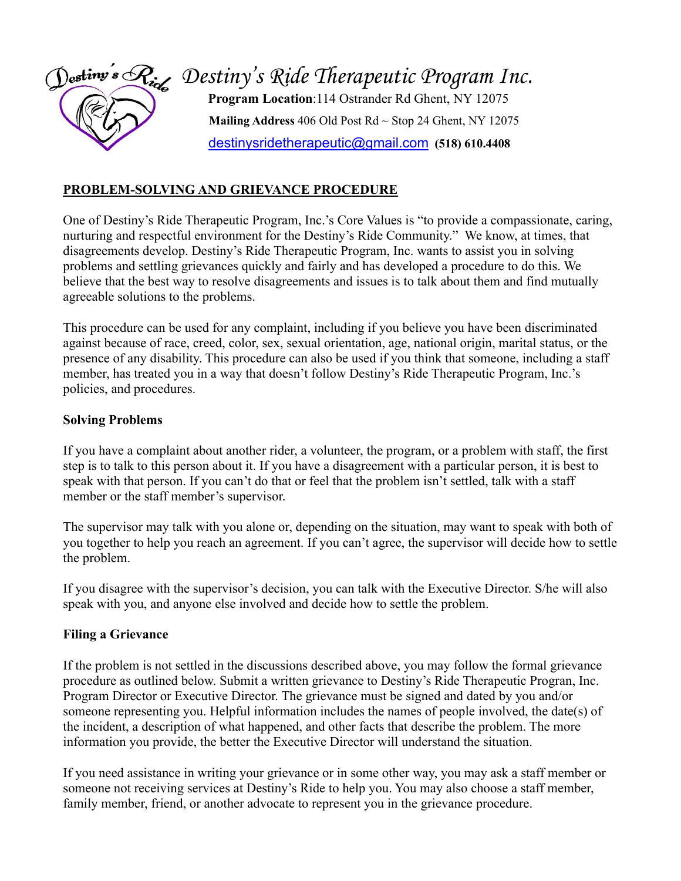

## **PROBLEM-SOLVING AND GRIEVANCE PROCEDURE**

One of Destiny's Ride Therapeutic Program, Inc.'s Core Values is "to provide a compassionate, caring, nurturing and respectful environment for the Destiny's Ride Community." We know, at times, that disagreements develop. Destiny's Ride Therapeutic Program, Inc. wants to assist you in solving problems and settling grievances quickly and fairly and has developed a procedure to do this. We believe that the best way to resolve disagreements and issues is to talk about them and find mutually agreeable solutions to the problems.

This procedure can be used for any complaint, including if you believe you have been discriminated against because of race, creed, color, sex, sexual orientation, age, national origin, marital status, or the presence of any disability. This procedure can also be used if you think that someone, including a staff member, has treated you in a way that doesn't follow Destiny's Ride Therapeutic Program, Inc.'s policies, and procedures.

### **Solving Problems**

If you have a complaint about another rider, a volunteer, the program, or a problem with staff, the first step is to talk to this person about it. If you have a disagreement with a particular person, it is best to speak with that person. If you can't do that or feel that the problem isn't settled, talk with a staff member or the staff member's supervisor.

The supervisor may talk with you alone or, depending on the situation, may want to speak with both of you together to help you reach an agreement. If you can't agree, the supervisor will decide how to settle the problem.

If you disagree with the supervisor's decision, you can talk with the Executive Director. S/he will also speak with you, and anyone else involved and decide how to settle the problem.

#### **Filing a Grievance**

If the problem is not settled in the discussions described above, you may follow the formal grievance procedure as outlined below. Submit a written grievance to Destiny's Ride Therapeutic Progran, Inc. Program Director or Executive Director. The grievance must be signed and dated by you and/or someone representing you. Helpful information includes the names of people involved, the date(s) of the incident, a description of what happened, and other facts that describe the problem. The more information you provide, the better the Executive Director will understand the situation.

If you need assistance in writing your grievance or in some other way, you may ask a staff member or someone not receiving services at Destiny's Ride to help you. You may also choose a staff member, family member, friend, or another advocate to represent you in the grievance procedure.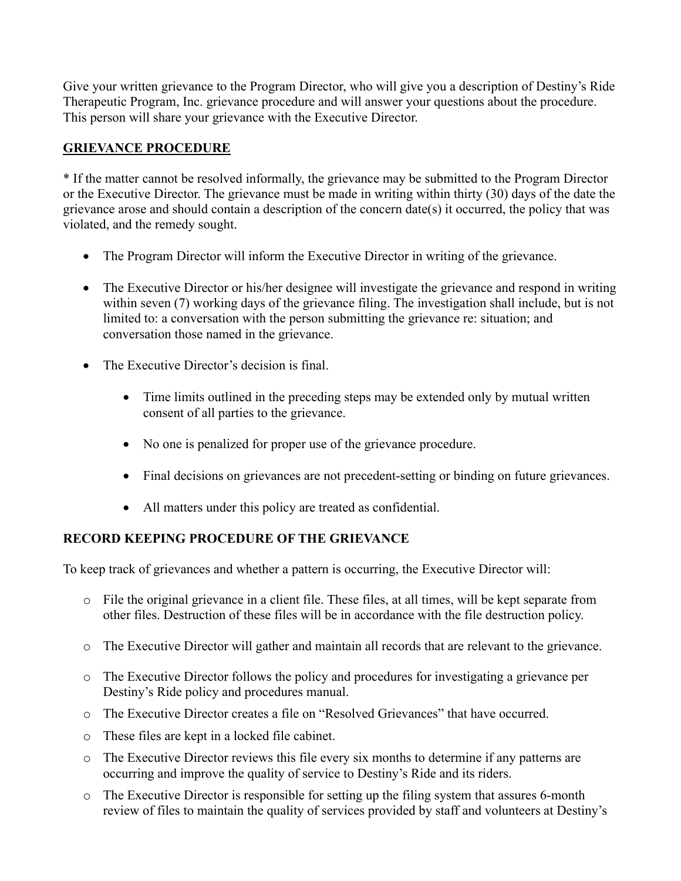Give your written grievance to the Program Director, who will give you a description of Destiny's Ride Therapeutic Program, Inc. grievance procedure and will answer your questions about the procedure. This person will share your grievance with the Executive Director.

## **GRIEVANCE PROCEDURE**

\* If the matter cannot be resolved informally, the grievance may be submitted to the Program Director or the Executive Director. The grievance must be made in writing within thirty (30) days of the date the grievance arose and should contain a description of the concern date(s) it occurred, the policy that was violated, and the remedy sought.

- The Program Director will inform the Executive Director in writing of the grievance.
- The Executive Director or his/her designee will investigate the grievance and respond in writing within seven (7) working days of the grievance filing. The investigation shall include, but is not limited to: a conversation with the person submitting the grievance re: situation; and conversation those named in the grievance.
- The Executive Director's decision is final.
	- Time limits outlined in the preceding steps may be extended only by mutual written consent of all parties to the grievance.
	- No one is penalized for proper use of the grievance procedure.
	- Final decisions on grievances are not precedent-setting or binding on future grievances.
	- All matters under this policy are treated as confidential.

# **RECORD KEEPING PROCEDURE OF THE GRIEVANCE**

To keep track of grievances and whether a pattern is occurring, the Executive Director will:

- o File the original grievance in a client file. These files, at all times, will be kept separate from other files. Destruction of these files will be in accordance with the file destruction policy.
- o The Executive Director will gather and maintain all records that are relevant to the grievance.
- o The Executive Director follows the policy and procedures for investigating a grievance per Destiny's Ride policy and procedures manual.
- o The Executive Director creates a file on "Resolved Grievances" that have occurred.
- o These files are kept in a locked file cabinet.
- o The Executive Director reviews this file every six months to determine if any patterns are occurring and improve the quality of service to Destiny's Ride and its riders.
- o The Executive Director is responsible for setting up the filing system that assures 6-month review of files to maintain the quality of services provided by staff and volunteers at Destiny's